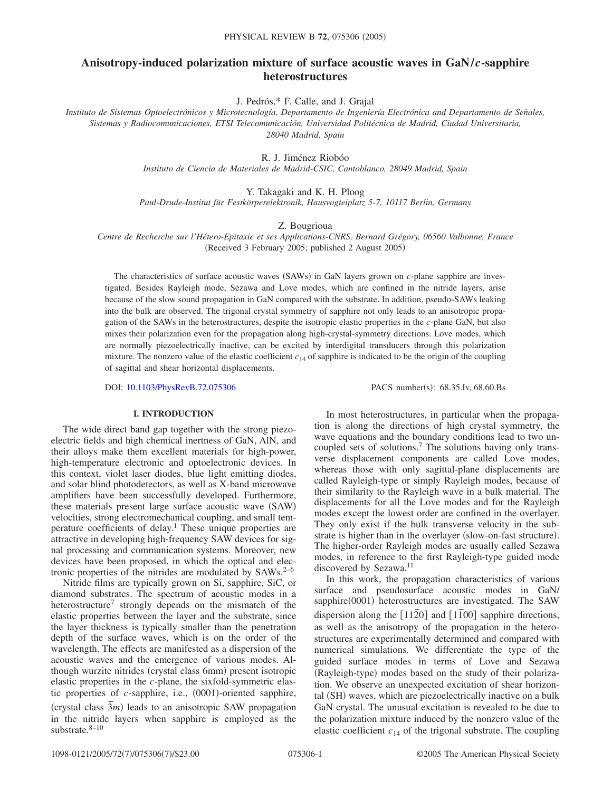# **Anisotropy-induced polarization mixture of surface acoustic waves in GaN/***c***-sapphire heterostructures**

J. Pedrós,\* F. Calle, and J. Grajal

*Instituto de Sistemas Optoelectrónicos y Microtecnología, Departamento de Ingeniería Electrónica and Departamento de Señales, Sistemas y Radiocomunicaciones, ETSI Telecomunicación, Universidad Politécnica de Madrid, Ciudad Universitaria, 28040 Madrid, Spain*

R. J. Jiménez Riobóo

*Instituto de Ciencia de Materiales de Madrid-CSIC, Cantoblanco, 28049 Madrid, Spain*

Y. Takagaki and K. H. Ploog

*Paul-Drude-Institut für Festkörperelektronik, Hausvogteiplatz 5-7, 10117 Berlin, Germany*

Z. Bougrioua

*Centre de Recherche sur l'Hétero-Epitaxie et ses Applications-CNRS, Bernard Grégory, 06560 Valbonne, France* (Received 3 February 2005; published 2 August 2005)

The characteristics of surface acoustic waves (SAWs) in GaN layers grown on *c*-plane sapphire are investigated. Besides Rayleigh mode, Sezawa and Love modes, which are confined in the nitride layers, arise because of the slow sound propagation in GaN compared with the substrate. In addition, pseudo-SAWs leaking into the bulk are observed. The trigonal crystal symmetry of sapphire not only leads to an anisotropic propagation of the SAWs in the heterostructures, despite the isotropic elastic properties in the *c*-plane GaN, but also mixes their polarization even for the propagation along high-crystal-symmetry directions. Love modes, which are normally piezoelectrically inactive, can be excited by interdigital transducers through this polarization mixture. The nonzero value of the elastic coefficient  $c_{14}$  of sapphire is indicated to be the origin of the coupling of sagittal and shear horizontal displacements.

DOI: [10.1103/PhysRevB.72.075306](http://dx.doi.org/10.1103/PhysRevB.72.075306)

PACS number(s): 68.35.Iv, 68.60.Bs

# **I. INTRODUCTION**

The wide direct band gap together with the strong piezoelectric fields and high chemical inertness of GaN, AlN, and their alloys make them excellent materials for high-power, high-temperature electronic and optoelectronic devices. In this context, violet laser diodes, blue light emitting diodes, and solar blind photodetectors, as well as X-band microwave amplifiers have been successfully developed. Furthermore, these materials present large surface acoustic wave (SAW) velocities, strong electromechanical coupling, and small temperature coefficients of delay.1 These unique properties are attractive in developing high-frequency SAW devices for signal processing and communication systems. Moreover, new devices have been proposed, in which the optical and electronic properties of the nitrides are modulated by SAWs.<sup>2-6</sup>

Nitride films are typically grown on Si, sapphire, SiC, or diamond substrates. The spectrum of acoustic modes in a heterostructure<sup>7</sup> strongly depends on the mismatch of the elastic properties between the layer and the substrate, since the layer thickness is typically smaller than the penetration depth of the surface waves, which is on the order of the wavelength. The effects are manifested as a dispersion of the acoustic waves and the emergence of various modes. Although wurzite nitrides (crystal class 6mm) present isotropic elastic properties in the *c*-plane, the sixfold-symmetric elastic properties of *c*-sapphire, i.e., (0001)-oriented sapphire, crystal class  $\overline{3}m$  leads to an anisotropic SAW propagation in the nitride layers when sapphire is employed as the substrate. $8-10$ 

In most heterostructures, in particular when the propagation is along the directions of high crystal symmetry, the wave equations and the boundary conditions lead to two uncoupled sets of solutions.7 The solutions having only transverse displacement components are called Love modes, whereas those with only sagittal-plane displacements are called Rayleigh-type or simply Rayleigh modes, because of their similarity to the Rayleigh wave in a bulk material. The displacements for all the Love modes and for the Rayleigh modes except the lowest order are confined in the overlayer. They only exist if the bulk transverse velocity in the substrate is higher than in the overlayer (slow-on-fast structure). The higher-order Rayleigh modes are usually called Sezawa modes, in reference to the first Rayleigh-type guided mode discovered by Sezawa.<sup>11</sup>

In this work, the propagation characteristics of various surface and pseudosurface acoustic modes in GaN/ sapphire(0001) heterostructures are investigated. The SAW dispersion along the  $\lceil 11\overline{2}0 \rceil$  and  $\lceil 1\overline{1}00 \rceil$  sapphire directions, as well as the anisotropy of the propagation in the heterostructures are experimentally determined and compared with numerical simulations. We differentiate the type of the guided surface modes in terms of Love and Sezawa (Rayleigh-type) modes based on the study of their polarization. We observe an unexpected excitation of shear horizontal (SH) waves, which are piezoelectrically inactive on a bulk GaN crystal. The unusual excitation is revealed to be due to the polarization mixture induced by the nonzero value of the elastic coefficient  $c_{14}$  of the trigonal substrate. The coupling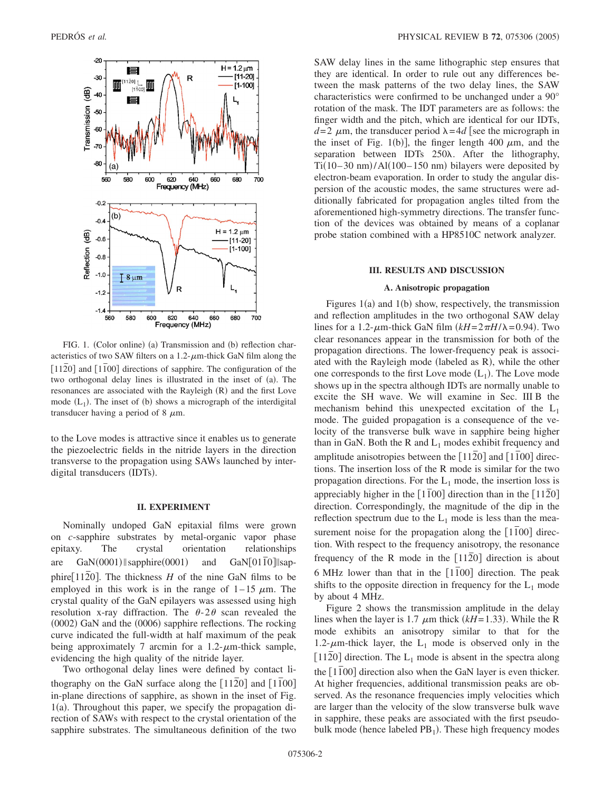

FIG. 1. (Color online) (a) Transmission and (b) reflection characteristics of two SAW filters on a  $1.2$ - $\mu$ m-thick GaN film along the [1120] and [1100] directions of sapphire. The configuration of the two orthogonal delay lines is illustrated in the inset of (a). The resonances are associated with the Rayleigh (R) and the first Love mode  $(L_1)$ . The inset of (b) shows a micrograph of the interdigital transducer having a period of 8  $\mu$ m.

to the Love modes is attractive since it enables us to generate the piezoelectric fields in the nitride layers in the direction transverse to the propagation using SAWs launched by interdigital transducers (IDTs).

## **II. EXPERIMENT**

Nominally undoped GaN epitaxial films were grown on *c*-sapphire substrates by metal-organic vapor phase epitaxy. The crystal orientation relationships are  $GaN(0001)$  sapphire(0001) and GaN[0110]||sapphire[1120]. The thickness  $H$  of the nine GaN films to be employed in this work is in the range of  $1-15 \mu m$ . The crystal quality of the GaN epilayers was assessed using high resolution x-ray diffraction. The  $\theta$ -2 $\theta$  scan revealed the (0002) GaN and the (0006) sapphire reflections. The rocking curve indicated the full-width at half maximum of the peak being approximately 7 arcmin for a  $1.2$ - $\mu$ m-thick sample, evidencing the high quality of the nitride layer.

Two orthogonal delay lines were defined by contact lithography on the GaN surface along the  $[1120]$  and  $[1100]$ in-plane directions of sapphire, as shown in the inset of Fig. 1(a). Throughout this paper, we specify the propagation direction of SAWs with respect to the crystal orientation of the sapphire substrates. The simultaneous definition of the two SAW delay lines in the same lithographic step ensures that they are identical. In order to rule out any differences between the mask patterns of the two delay lines, the SAW characteristics were confirmed to be unchanged under a 90° rotation of the mask. The IDT parameters are as follows: the finger width and the pitch, which are identical for our IDTs,  $d=2 \mu m$ , the transducer period  $\lambda = 4d$  see the micrograph in the inset of Fig. 1(b)], the finger length 400  $\mu$ m, and the separation between IDTs 250 $\lambda$ . After the lithography, Ti $(10-30 \text{ nm})$ /Al $(100-150 \text{ nm})$  bilayers were deposited by electron-beam evaporation. In order to study the angular dispersion of the acoustic modes, the same structures were additionally fabricated for propagation angles tilted from the aforementioned high-symmetry directions. The transfer function of the devices was obtained by means of a coplanar probe station combined with a HP8510C network analyzer.

## **III. RESULTS AND DISCUSSION**

#### **A. Anisotropic propagation**

Figures  $1(a)$  and  $1(b)$  show, respectively, the transmission and reflection amplitudes in the two orthogonal SAW delay lines for a 1.2- $\mu$ m-thick GaN film  $(kH = 2\pi H/\lambda = 0.94)$ . Two clear resonances appear in the transmission for both of the propagation directions. The lower-frequency peak is associated with the Rayleigh mode (labeled as R), while the other one corresponds to the first Love mode  $(L_1)$ . The Love mode shows up in the spectra although IDTs are normally unable to excite the SH wave. We will examine in Sec. III B the mechanism behind this unexpected excitation of the  $L_1$ mode. The guided propagation is a consequence of the velocity of the transverse bulk wave in sapphire being higher than in GaN. Both the R and  $L_1$  modes exhibit frequency and amplitude anisotropies between the [1120] and [1100] directions. The insertion loss of the R mode is similar for the two propagation directions. For the  $L_1$  mode, the insertion loss is appreciably higher in the  $[1\overline{1}00]$  direction than in the  $[11\overline{2}0]$ direction. Correspondingly, the magnitude of the dip in the reflection spectrum due to the  $L_1$  mode is less than the measurement noise for the propagation along the [1100] direction. With respect to the frequency anisotropy, the resonance frequency of the R mode in the  $[1120]$  direction is about 6 MHz lower than that in the [1100] direction. The peak shifts to the opposite direction in frequency for the  $L_1$  mode by about 4 MHz.

Figure 2 shows the transmission amplitude in the delay lines when the layer is 1.7  $\mu$ m thick ( $kH$ =1.33). While the R mode exhibits an anisotropy similar to that for the 1.2- $\mu$ m-thick layer, the L<sub>1</sub> mode is observed only in the [1120] direction. The  $L_1$  mode is absent in the spectra along the [1100] direction also when the GaN layer is even thicker. At higher frequencies, additional transmission peaks are observed. As the resonance frequencies imply velocities which are larger than the velocity of the slow transverse bulk wave in sapphire, these peaks are associated with the first pseudobulk mode (hence labeled PB<sub>1</sub>). These high frequency modes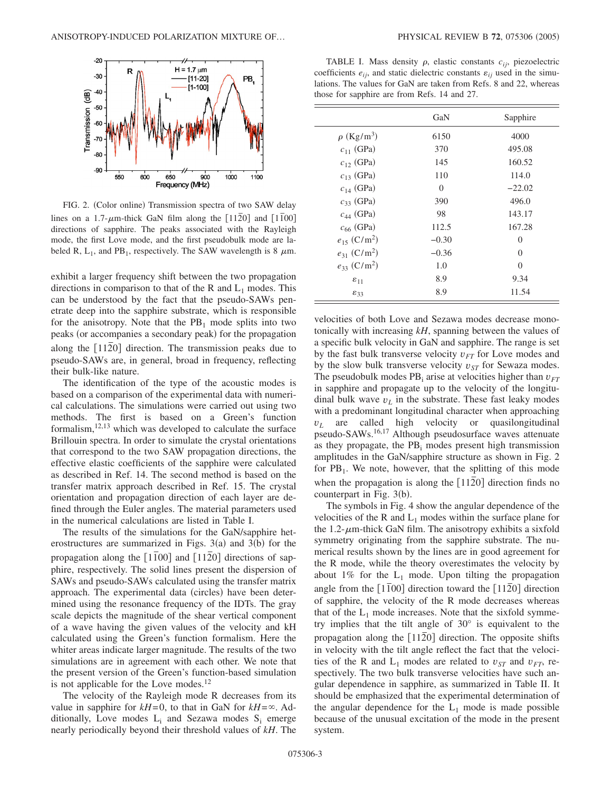

FIG. 2. (Color online) Transmission spectra of two SAW delay lines on a 1.7- $\mu$ m-thick GaN film along the [1120] and [1100] directions of sapphire. The peaks associated with the Rayleigh mode, the first Love mode, and the first pseudobulk mode are labeled R,  $L_1$ , and PB<sub>1</sub>, respectively. The SAW wavelength is 8  $\mu$ m.

exhibit a larger frequency shift between the two propagation directions in comparison to that of the R and  $L_1$  modes. This can be understood by the fact that the pseudo-SAWs penetrate deep into the sapphire substrate, which is responsible for the anisotropy. Note that the  $PB<sub>1</sub>$  mode splits into two peaks (or accompanies a secondary peak) for the propagation along the [1120] direction. The transmission peaks due to pseudo-SAWs are, in general, broad in frequency, reflecting their bulk-like nature.

The identification of the type of the acoustic modes is based on a comparison of the experimental data with numerical calculations. The simulations were carried out using two methods. The first is based on a Green's function formalism, $12,13$  which was developed to calculate the surface Brillouin spectra. In order to simulate the crystal orientations that correspond to the two SAW propagation directions, the effective elastic coefficients of the sapphire were calculated as described in Ref. 14. The second method is based on the transfer matrix approach described in Ref. 15. The crystal orientation and propagation direction of each layer are defined through the Euler angles. The material parameters used in the numerical calculations are listed in Table I.

The results of the simulations for the GaN/sapphire heterostructures are summarized in Figs.  $3(a)$  and  $3(b)$  for the propagation along the [1100] and [1120] directions of sapphire, respectively. The solid lines present the dispersion of SAWs and pseudo-SAWs calculated using the transfer matrix approach. The experimental data (circles) have been determined using the resonance frequency of the IDTs. The gray scale depicts the magnitude of the shear vertical component of a wave having the given values of the velocity and kH calculated using the Green's function formalism. Here the whiter areas indicate larger magnitude. The results of the two simulations are in agreement with each other. We note that the present version of the Green's function-based simulation is not applicable for the Love modes.<sup>12</sup>

The velocity of the Rayleigh mode R decreases from its value in sapphire for  $kH=0$ , to that in GaN for  $kH=\infty$ . Additionally, Love modes  $L_i$  and Sezawa modes  $S_i$  emerge nearly periodically beyond their threshold values of *kH*. The

TABLE I. Mass density  $\rho$ , elastic constants  $c_{ij}$ , piezoelectric coefficients  $e_{ij}$ , and static dielectric constants  $\varepsilon_{ij}$  used in the simulations. The values for GaN are taken from Refs. 8 and 22, whereas those for sapphire are from Refs. 14 and 27.

|                              | GaN      | Sapphire |  |
|------------------------------|----------|----------|--|
| $\rho$ (Kg/m <sup>3</sup> )  | 6150     | 4000     |  |
| $c_{11}$ (GPa)               | 370      | 495.08   |  |
| $c_{12}$ (GPa)               | 145      | 160.52   |  |
| $c_{13}$ (GPa)               | 110      | 114.0    |  |
| $c_{14}$ (GPa)               | $\Omega$ | $-22.02$ |  |
| $c_{33}$ (GPa)               | 390      | 496.0    |  |
| $c_{44}$ (GPa)               | 98       | 143.17   |  |
| $c_{66}$ (GPa)               | 112.5    | 167.28   |  |
| $e_{15}$ (C/m <sup>2</sup> ) | $-0.30$  | $\theta$ |  |
| $e_{31}$ (C/m <sup>2</sup> ) | $-0.36$  | $\theta$ |  |
| $e_{33}$ (C/m <sup>2</sup> ) | 1.0      | $\Omega$ |  |
| $\varepsilon_{11}$           | 8.9      | 9.34     |  |
| $\varepsilon_{33}$           | 8.9      | 11.54    |  |

velocities of both Love and Sezawa modes decrease monotonically with increasing *kH*, spanning between the values of a specific bulk velocity in GaN and sapphire. The range is set by the fast bulk transverse velocity  $v_{FT}$  for Love modes and by the slow bulk transverse velocity  $v_{ST}$  for Sewaza modes. The pseudobulk modes  $PB_i$  arise at velocities higher than  $v_{FT}$ in sapphire and propagate up to the velocity of the longitudinal bulk wave  $v_L$  in the substrate. These fast leaky modes with a predominant longitudinal character when approaching  $v_L$  are called high velocity or quasilongitudinal pseudo-SAWs.16,17 Although pseudosurface waves attenuate as they propagate, the  $PB<sub>i</sub>$  modes present high transmission amplitudes in the GaN/sapphire structure as shown in Fig. 2 for  $PB_1$ . We note, however, that the splitting of this mode when the propagation is along the  $\lceil 1120 \rceil$  direction finds no counterpart in Fig. 3(b).

The symbols in Fig. 4 show the angular dependence of the velocities of the R and  $L_1$  modes within the surface plane for the 1.2- $\mu$ m-thick GaN film. The anisotropy exhibits a sixfold symmetry originating from the sapphire substrate. The numerical results shown by the lines are in good agreement for the R mode, while the theory overestimates the velocity by about 1% for the  $L_1$  mode. Upon tilting the propagation angle from the  $\lceil 1\overline{1}00 \rceil$  direction toward the  $\lceil 11\overline{2}0 \rceil$  direction of sapphire, the velocity of the R mode decreases whereas that of the  $L_1$  mode increases. Note that the sixfold symmetry implies that the tilt angle of 30° is equivalent to the propagation along the [1120] direction. The opposite shifts in velocity with the tilt angle reflect the fact that the velocities of the R and  $L_1$  modes are related to  $v_{ST}$  and  $v_{FT}$ , respectively. The two bulk transverse velocities have such angular dependence in sapphire, as summarized in Table II. It should be emphasized that the experimental determination of the angular dependence for the  $L_1$  mode is made possible because of the unusual excitation of the mode in the present system.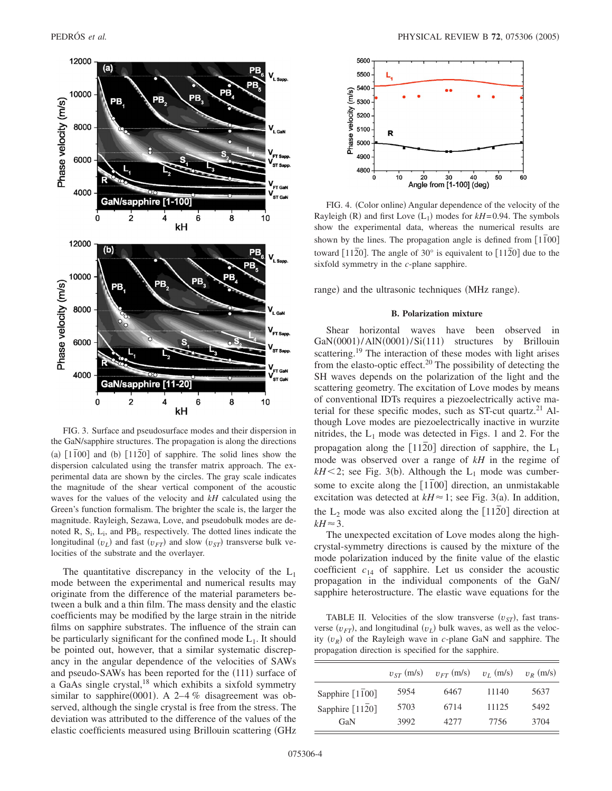

FIG. 3. Surface and pseudosurface modes and their dispersion in the GaN/sapphire structures. The propagation is along the directions (a)  $[1\overline{1}00]$  and (b)  $[11\overline{2}0]$  of sapphire. The solid lines show the dispersion calculated using the transfer matrix approach. The experimental data are shown by the circles. The gray scale indicates the magnitude of the shear vertical component of the acoustic waves for the values of the velocity and *kH* calculated using the Green's function formalism. The brighter the scale is, the larger the magnitude. Rayleigh, Sezawa, Love, and pseudobulk modes are denoted R,  $S_i$ ,  $L_i$ , and  $PB_i$ , respectively. The dotted lines indicate the longitudinal  $(v_L)$  and fast  $(v_{FT})$  and slow  $(v_{ST})$  transverse bulk velocities of the substrate and the overlayer.

The quantitative discrepancy in the velocity of the  $L_1$ mode between the experimental and numerical results may originate from the difference of the material parameters between a bulk and a thin film. The mass density and the elastic coefficients may be modified by the large strain in the nitride films on sapphire substrates. The influence of the strain can be particularly significant for the confined mode  $L_1$ . It should be pointed out, however, that a similar systematic discrepancy in the angular dependence of the velocities of SAWs and pseudo-SAWs has been reported for the (111) surface of a GaAs single crystal,<sup>18</sup> which exhibits a sixfold symmetry similar to sapphire(0001). A 2-4 % disagreement was observed, although the single crystal is free from the stress. The deviation was attributed to the difference of the values of the elastic coefficients measured using Brillouin scattering GHz



FIG. 4. (Color online) Angular dependence of the velocity of the Rayleigh (R) and first Love  $(L_1)$  modes for  $kH$ =0.94. The symbols show the experimental data, whereas the numerical results are shown by the lines. The propagation angle is defined from  $\lceil 1100 \rceil$ toward  $\lceil 1120 \rceil$ . The angle of 30° is equivalent to  $\lceil 1120 \rceil$  due to the sixfold symmetry in the *c*-plane sapphire.

range) and the ultrasonic techniques (MHz range).

## **B. Polarization mixture**

Shear horizontal waves have been observed in GaN(0001)/AlN(0001)/Si(111) structures by Brillouin scattering.<sup>19</sup> The interaction of these modes with light arises from the elasto-optic effect.<sup>20</sup> The possibility of detecting the SH waves depends on the polarization of the light and the scattering geometry. The excitation of Love modes by means of conventional IDTs requires a piezoelectrically active material for these specific modes, such as  $ST$ -cut quartz.<sup>21</sup> Although Love modes are piezoelectrically inactive in wurzite nitrides, the  $L_1$  mode was detected in Figs. 1 and 2. For the propagation along the  $\lceil 1120 \rceil$  direction of sapphire, the L<sub>1</sub> mode was observed over a range of *kH* in the regime of  $kH$  < 2; see Fig. 3(b). Although the L<sub>1</sub> mode was cumbersome to excite along the  $\lceil 1\overline{1}00 \rceil$  direction, an unmistakable excitation was detected at  $kH \approx 1$ ; see Fig. 3(a). In addition, the  $L_2$  mode was also excited along the  $\lceil 1120 \rceil$  direction at  $kH \approx 3$ .

The unexpected excitation of Love modes along the highcrystal-symmetry directions is caused by the mixture of the mode polarization induced by the finite value of the elastic coefficient  $c_{14}$  of sapphire. Let us consider the acoustic propagation in the individual components of the GaN/ sapphire heterostructure. The elastic wave equations for the

TABLE II. Velocities of the slow transverse  $(v_{ST})$ , fast transverse  $(v_{FT})$ , and longitudinal  $(v_L)$  bulk waves, as well as the velocity  $(v_R)$  of the Rayleigh wave in *c*-plane GaN and sapphire. The propagation direction is specified for the sapphire.

|                                    | $v_{ST}$ (m/s) | $v_{FT}$ (m/s) | $v_L$ (m/s) | $v_{R}$ (m/s) |
|------------------------------------|----------------|----------------|-------------|---------------|
| Sapphire $\lceil 1\bar{1}00\rceil$ | 5954           | 6467           | 11140       | 5637          |
| Sapphire $[11\overline{2}0]$       | 5703           | 6714           | 11125       | 5492          |
| GaN                                | 3992           | 42.77          | 7756        | 3704          |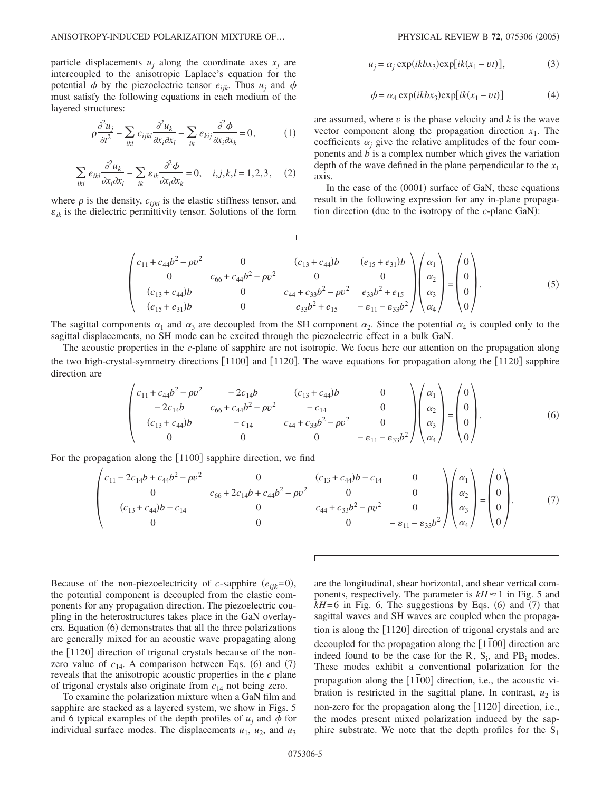particle displacements  $u_i$  along the coordinate axes  $x_i$  are intercoupled to the anisotropic Laplace's equation for the potential  $\phi$  by the piezoelectric tensor  $e_{ijk}$ . Thus  $u_i$  and  $\phi$ must satisfy the following equations in each medium of the layered structures:

$$
\rho \frac{\partial^2 u_j}{\partial t^2} - \sum_{ikl} c_{ijkl} \frac{\partial^2 u_k}{\partial x_i \partial x_l} - \sum_{ik} e_{kij} \frac{\partial^2 \phi}{\partial x_i \partial x_k} = 0, \tag{1}
$$

$$
\sum_{ikl} e_{ikl} \frac{\partial^2 u_k}{\partial x_i \partial x_l} - \sum_{ik} \varepsilon_{ik} \frac{\partial^2 \phi}{\partial x_i \partial x_k} = 0, \quad i, j, k, l = 1, 2, 3, \quad (2)
$$

where  $\rho$  is the density,  $c_{ijkl}$  is the elastic stiffness tensor, and  $\varepsilon_{ik}$  is the dielectric permittivity tensor. Solutions of the form

$$
u_j = \alpha_j \exp(ikbx_3) \exp[ik(x_1 - vt)], \qquad (3)
$$

$$
\phi = \alpha_4 \exp(ikbx_3) \exp[ik(x_1 - vt)] \tag{4}
$$

are assumed, where  $v$  is the phase velocity and  $k$  is the wave vector component along the propagation direction  $x_1$ . The coefficients  $\alpha_j$  give the relative amplitudes of the four components and  $\ddot{b}$  is a complex number which gives the variation depth of the wave defined in the plane perpendicular to the  $x_1$ axis.

In the case of the (0001) surface of GaN, these equations result in the following expression for any in-plane propagation direction (due to the isotropy of the *c*-plane GaN):

$$
\begin{pmatrix} c_{11} + c_{44}b^2 - \rho v^2 & 0 & (c_{13} + c_{44})b & (e_{15} + e_{31})b \\ 0 & c_{66} + c_{44}b^2 - \rho v^2 & 0 & 0 \\ (c_{13} + c_{44})b & 0 & c_{44} + c_{33}b^2 - \rho v^2 & e_{33}b^2 + e_{15} \\ (e_{15} + e_{31})b & 0 & e_{33}b^2 + e_{15} & -\varepsilon_{11} - \varepsilon_{33}b^2 \end{pmatrix} \begin{pmatrix} \alpha_1 \\ \alpha_2 \\ \alpha_3 \\ \alpha_4 \end{pmatrix} = \begin{pmatrix} 0 \\ 0 \\ 0 \\ 0 \end{pmatrix}.
$$
 (5)

The sagittal components  $\alpha_1$  and  $\alpha_3$  are decoupled from the SH component  $\alpha_2$ . Since the potential  $\alpha_4$  is coupled only to the sagittal displacements, no SH mode can be excited through the piezoelectric effect in a bulk GaN.

The acoustic properties in the *c*-plane of sapphire are not isotropic. We focus here our attention on the propagation along the two high-crystal-symmetry directions  $[1\overline{1}00]$  and  $[11\overline{2}0]$ . The wave equations for propagation along the  $[11\overline{2}0]$  sapphire direction are

$$
\begin{pmatrix} c_{11} + c_{44}b^2 - \rho v^2 & -2c_{14}b & (c_{13} + c_{44})b & 0 \\ -2c_{14}b & c_{66} + c_{44}b^2 - \rho v^2 & -c_{14} & 0 \\ (c_{13} + c_{44})b & -c_{14} & c_{44} + c_{33}b^2 - \rho v^2 & 0 \\ 0 & 0 & 0 & -\varepsilon_{11} - \varepsilon_{33}b^2 \end{pmatrix} \begin{pmatrix} \alpha_1 \\ \alpha_2 \\ \alpha_3 \\ \alpha_4 \end{pmatrix} = \begin{pmatrix} 0 \\ 0 \\ 0 \\ 0 \end{pmatrix}.
$$
 (6)

For the propagation along the [1100] sapphire direction, we find

$$
\begin{pmatrix} c_{11} - 2c_{14}b + c_{44}b^2 - \rho v^2 & 0 & (c_{13} + c_{44})b - c_{14} & 0 \\ 0 & c_{66} + 2c_{14}b + c_{44}b^2 - \rho v^2 & 0 & 0 \\ (c_{13} + c_{44})b - c_{14} & 0 & c_{44} + c_{33}b^2 - \rho v^2 & 0 \\ 0 & 0 & 0 & -\varepsilon_{11} - \varepsilon_{33}b^2 \end{pmatrix} \begin{pmatrix} \alpha_1 \\ \alpha_2 \\ \alpha_3 \\ \alpha_4 \end{pmatrix} = \begin{pmatrix} 0 \\ 0 \\ 0 \\ 0 \end{pmatrix}.
$$
 (7)

Because of the non-piezoelectricity of *c*-sapphire  $(e_{ijk}=0)$ , the potential component is decoupled from the elastic components for any propagation direction. The piezoelectric coupling in the heterostructures takes place in the GaN overlayers. Equation (6) demonstrates that all the three polarizations are generally mixed for an acoustic wave propagating along the [1120] direction of trigonal crystals because of the nonzero value of  $c_{14}$ . A comparison between Eqs. (6) and (7) reveals that the anisotropic acoustic properties in the *c* plane of trigonal crystals also originate from *c*<sup>14</sup> not being zero.

To examine the polarization mixture when a GaN film and sapphire are stacked as a layered system, we show in Figs. 5 and 6 typical examples of the depth profiles of  $u_i$  and  $\phi$  for individual surface modes. The displacements  $u_1$ ,  $u_2$ , and  $u_3$ 

are the longitudinal, shear horizontal, and shear vertical components, respectively. The parameter is  $kH \approx 1$  in Fig. 5 and  $kH = 6$  in Fig. 6. The suggestions by Eqs. (6) and (7) that sagittal waves and SH waves are coupled when the propagation is along the [1120] direction of trigonal crystals and are decoupled for the propagation along the [1100] direction are indeed found to be the case for the R,  $S_i$ , and  $PB_i$  modes. These modes exhibit a conventional polarization for the propagation along the  $[1\overline{1}00]$  direction, i.e., the acoustic vibration is restricted in the sagittal plane. In contrast,  $u_2$  is non-zero for the propagation along the [1120] direction, i.e., the modes present mixed polarization induced by the sapphire substrate. We note that the depth profiles for the  $S_1$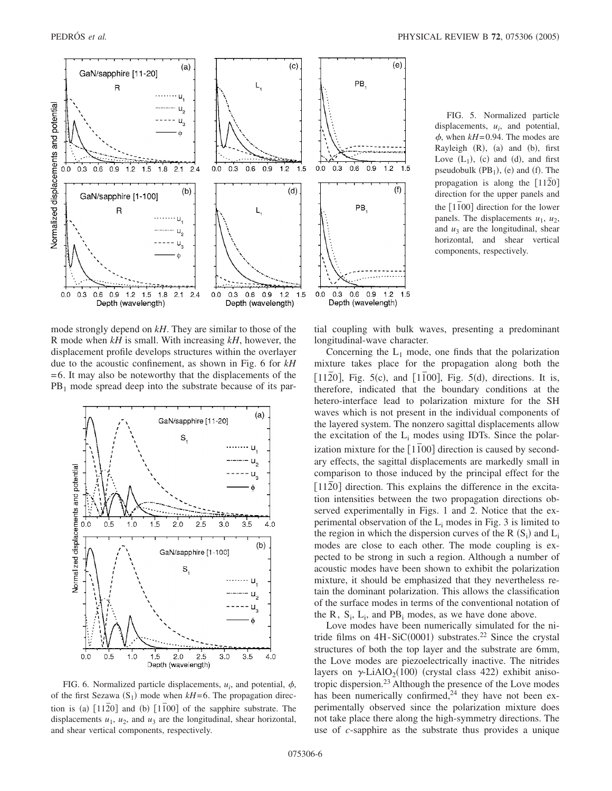

mode strongly depend on *kH*. They are similar to those of the R mode when *kH* is small. With increasing *kH*, however, the displacement profile develops structures within the overlayer due to the acoustic confinement, as shown in Fig. 6 for *kH* =6. It may also be noteworthy that the displacements of the  $PB<sub>1</sub>$  mode spread deep into the substrate because of its par-



FIG. 6. Normalized particle displacements,  $u_i$ , and potential,  $\phi$ , of the first Sezawa  $(S_1)$  mode when  $kH=6$ . The propagation direction is (a)  $[11\overline{2}0]$  and (b)  $[1\overline{1}00]$  of the sapphire substrate. The displacements  $u_1$ ,  $u_2$ , and  $u_3$  are the longitudinal, shear horizontal, and shear vertical components, respectively.

FIG. 5. Normalized particle displacements,  $u_i$ , and potential,  $\phi$ , when  $kH$ =0.94. The modes are Rayleigh (R), (a) and (b), first Love  $(L_1)$ , (c) and (d), and first pseudobulk  $(PB_1)$ , (e) and (f). The propagation is along the  $\lceil 1120 \rceil$ direction for the upper panels and the [1100] direction for the lower panels. The displacements  $u_1$ ,  $u_2$ , and  $u_3$  are the longitudinal, shear horizontal, and shear vertical components, respectively.

tial coupling with bulk waves, presenting a predominant longitudinal-wave character.

Concerning the  $L_1$  mode, one finds that the polarization mixture takes place for the propagation along both the  $[11\overline{2}0]$ , Fig. 5(c), and  $[1\overline{1}00]$ , Fig. 5(d), directions. It is, therefore, indicated that the boundary conditions at the hetero-interface lead to polarization mixture for the SH waves which is not present in the individual components of the layered system. The nonzero sagittal displacements allow the excitation of the  $L_i$  modes using IDTs. Since the polarization mixture for the  $\lceil 1\overline{1}00 \rceil$  direction is caused by secondary effects, the sagittal displacements are markedly small in comparison to those induced by the principal effect for the [1120] direction. This explains the difference in the excitation intensities between the two propagation directions observed experimentally in Figs. 1 and 2. Notice that the experimental observation of the  $L_i$  modes in Fig. 3 is limited to the region in which the dispersion curves of the R  $(S_i)$  and  $L_i$ modes are close to each other. The mode coupling is expected to be strong in such a region. Although a number of acoustic modes have been shown to exhibit the polarization mixture, it should be emphasized that they nevertheless retain the dominant polarization. This allows the classification of the surface modes in terms of the conventional notation of the  $R$ ,  $S_i$ ,  $L_i$ , and  $PB_i$  modes, as we have done above.

Love modes have been numerically simulated for the nitride films on  $4H-SiC(0001)$  substrates.<sup>22</sup> Since the crystal structures of both the top layer and the substrate are 6mm, the Love modes are piezoelectrically inactive. The nitrides layers on  $\gamma$ -LiAlO<sub>2</sub>(100) (crystal class 422) exhibit anisotropic dispersion.<sup>23</sup> Although the presence of the Love modes has been numerically confirmed, $24$  they have not been experimentally observed since the polarization mixture does not take place there along the high-symmetry directions. The use of *c*-sapphire as the substrate thus provides a unique